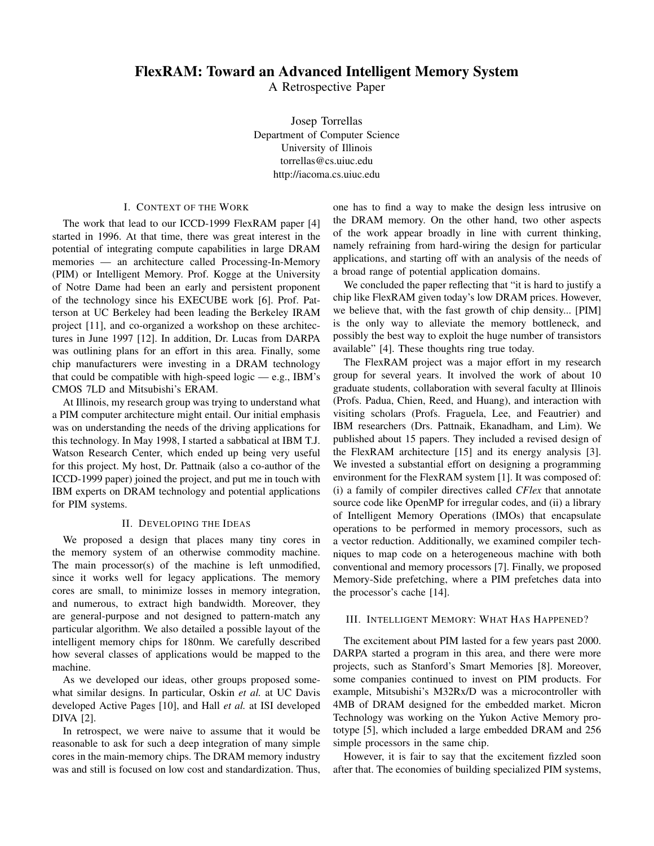# FlexRAM: Toward an Advanced Intelligent Memory System

A Retrospective Paper

Josep Torrellas Department of Computer Science University of Illinois torrellas@cs.uiuc.edu http://iacoma.cs.uiuc.edu

## I. CONTEXT OF THE WORK

The work that lead to our ICCD-1999 FlexRAM paper [4] started in 1996. At that time, there was great interest in the potential of integrating compute capabilities in large DRAM memories — an architecture called Processing-In-Memory (PIM) or Intelligent Memory. Prof. Kogge at the University of Notre Dame had been an early and persistent proponent of the technology since his EXECUBE work [6]. Prof. Patterson at UC Berkeley had been leading the Berkeley IRAM project [11], and co-organized a workshop on these architectures in June 1997 [12]. In addition, Dr. Lucas from DARPA was outlining plans for an effort in this area. Finally, some chip manufacturers were investing in a DRAM technology that could be compatible with high-speed logic — e.g., IBM's CMOS 7LD and Mitsubishi's ERAM.

At Illinois, my research group was trying to understand what a PIM computer architecture might entail. Our initial emphasis was on understanding the needs of the driving applications for this technology. In May 1998, I started a sabbatical at IBM T.J. Watson Research Center, which ended up being very useful for this project. My host, Dr. Pattnaik (also a co-author of the ICCD-1999 paper) joined the project, and put me in touch with IBM experts on DRAM technology and potential applications for PIM systems.

### II. DEVELOPING THE IDEAS

We proposed a design that places many tiny cores in the memory system of an otherwise commodity machine. The main processor(s) of the machine is left unmodified, since it works well for legacy applications. The memory cores are small, to minimize losses in memory integration, and numerous, to extract high bandwidth. Moreover, they are general-purpose and not designed to pattern-match any particular algorithm. We also detailed a possible layout of the intelligent memory chips for 180nm. We carefully described how several classes of applications would be mapped to the machine.

As we developed our ideas, other groups proposed somewhat similar designs. In particular, Oskin *et al.* at UC Davis developed Active Pages [10], and Hall *et al.* at ISI developed DIVA [2].

In retrospect, we were naive to assume that it would be reasonable to ask for such a deep integration of many simple cores in the main-memory chips. The DRAM memory industry was and still is focused on low cost and standardization. Thus, one has to find a way to make the design less intrusive on the DRAM memory. On the other hand, two other aspects of the work appear broadly in line with current thinking, namely refraining from hard-wiring the design for particular applications, and starting off with an analysis of the needs of a broad range of potential application domains.

We concluded the paper reflecting that "it is hard to justify a chip like FlexRAM given today's low DRAM prices. However, we believe that, with the fast growth of chip density... [PIM] is the only way to alleviate the memory bottleneck, and possibly the best way to exploit the huge number of transistors available" [4]. These thoughts ring true today.

The FlexRAM project was a major effort in my research group for several years. It involved the work of about 10 graduate students, collaboration with several faculty at Illinois (Profs. Padua, Chien, Reed, and Huang), and interaction with visiting scholars (Profs. Fraguela, Lee, and Feautrier) and IBM researchers (Drs. Pattnaik, Ekanadham, and Lim). We published about 15 papers. They included a revised design of the FlexRAM architecture [15] and its energy analysis [3]. We invested a substantial effort on designing a programming environment for the FlexRAM system [1]. It was composed of: (i) a family of compiler directives called *CFlex* that annotate source code like OpenMP for irregular codes, and (ii) a library of Intelligent Memory Operations (IMOs) that encapsulate operations to be performed in memory processors, such as a vector reduction. Additionally, we examined compiler techniques to map code on a heterogeneous machine with both conventional and memory processors [7]. Finally, we proposed Memory-Side prefetching, where a PIM prefetches data into the processor's cache [14].

## III. INTELLIGENT MEMORY: WHAT HAS HAPPENED?

The excitement about PIM lasted for a few years past 2000. DARPA started a program in this area, and there were more projects, such as Stanford's Smart Memories [8]. Moreover, some companies continued to invest on PIM products. For example, Mitsubishi's M32Rx/D was a microcontroller with 4MB of DRAM designed for the embedded market. Micron Technology was working on the Yukon Active Memory prototype [5], which included a large embedded DRAM and 256 simple processors in the same chip.

However, it is fair to say that the excitement fizzled soon after that. The economies of building specialized PIM systems,